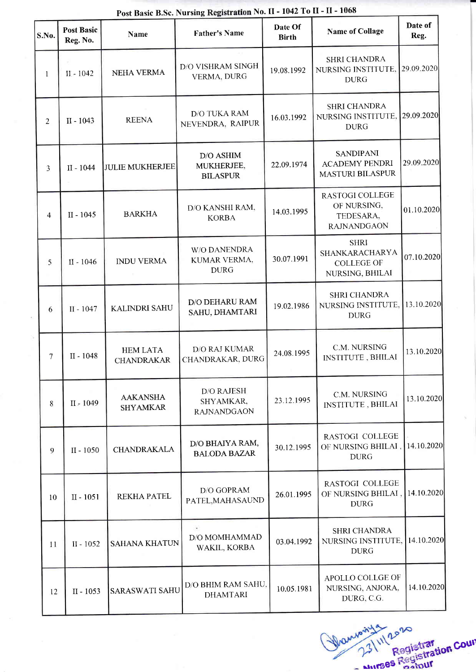| S.No.          | <b>Post Basic</b><br>Reg. No. | Name                                 | <b>TUST Dasit Disc.</b> Full still registration 2100 12<br><b>Father's Name</b> | Date Of<br><b>Birth</b> | <b>Name of Collage</b>                                                | Date of<br>Reg. |
|----------------|-------------------------------|--------------------------------------|---------------------------------------------------------------------------------|-------------------------|-----------------------------------------------------------------------|-----------------|
| 1              | $II - 1042$                   | <b>NEHA VERMA</b>                    | D/O VISHRAM SINGH<br>VERMA, DURG                                                | 19.08.1992              | <b>SHRI CHANDRA</b><br>NURSING INSTITUTE,<br><b>DURG</b>              | 29.09.2020      |
| $\overline{2}$ | $II - 1043$                   | <b>REENA</b>                         | <b>D/O TUKA RAM</b><br>NEVENDRA, RAIPUR                                         | 16.03.1992              | <b>SHRI CHANDRA</b><br>NURSING INSTITUTE.<br><b>DURG</b>              | 29.09.2020      |
| 3              | $II - 1044$                   | <b>JULIE MUKHERJEE</b>               | D/O ASHIM<br>MUKHERJEE,<br><b>BILASPUR</b>                                      | 22.09.1974              | <b>SANDIPANI</b><br><b>ACADEMY PENDRI</b><br><b>MASTURI BILASPUR</b>  | 29.09.2020      |
| $\overline{4}$ | $II - 1045$                   | <b>BARKHA</b>                        | D/O KANSHI RAM,<br><b>KORBA</b>                                                 | 14.03.1995              | RASTOGI COLLEGE<br>OF NURSING,<br>TEDESARA,<br><b>RAJNANDGAON</b>     | 01.10.2020      |
| 5              | $II - 1046$                   | <b>INDU VERMA</b>                    | <b>W/O DANENDRA</b><br>KUMAR VERMA,<br><b>DURG</b>                              | 30.07.1991              | <b>SHRI</b><br>SHANKARACHARYA<br><b>COLLEGE OF</b><br>NURSING, BHILAI | 07.10.2020      |
| 6              | $\Pi - 1047$                  | <b>KALINDRI SAHU</b>                 | D/O DEHARU RAM<br>SAHU, DHAMTARI                                                | 19.02.1986              | <b>SHRI CHANDRA</b><br>NURSING INSTITUTE,<br><b>DURG</b>              | 13.10.2020      |
| 7              | II - 1048                     | <b>HEM LATA</b><br><b>CHANDRAKAR</b> | D/O RAJ KUMAR<br>CHANDRAKAR, DURG                                               | 24.08.1995              | C.M. NURSING<br>INSTITUTE, BHILAI                                     | 13.10.2020      |
| 8              | II - 1049                     | <b>AAKANSHA</b><br><b>SHYAMKAR</b>   | <b>D/O RAJESH</b><br>SHYAMKAR,<br><b>RAJNANDGAON</b>                            | 23.12.1995              | C.M. NURSING<br><b>INSTITUTE, BHILAI</b>                              | 13.10.2020      |
| 9              | II - 1050                     | <b>CHANDRAKALA</b>                   | D/O BHAIYA RAM,<br><b>BALODA BAZAR</b>                                          | 30.12.1995              | <b>RASTOGI COLLEGE</b><br>OF NURSING BHILAI,<br><b>DURG</b>           | 14.10.2020      |
| 10             | $II - 1051$                   | <b>REKHA PATEL</b>                   | D/O GOPRAM<br>PATEL, MAHASAUND                                                  | 26.01.1995              | <b>RASTOGI COLLEGE</b><br>OF NURSING BHILAI,<br><b>DURG</b>           | 14.10.2020      |
| 11             | $II - 1052$                   | <b>SAHANA KHATUN</b>                 | D/O MOMHAMMAD<br>WAKIL, KORBA                                                   | 03.04.1992              | <b>SHRI CHANDRA</b><br>NURSING INSTITUTE,<br><b>DURG</b>              | 14.10.2020      |
| 12             | II - 1053                     | <b>SARASWATI SAHU</b>                | D/O BHIM RAM SAHU,<br><b>DHAMTARI</b>                                           | 10.05.1981              | <b>APOLLO COLLGE OF</b><br>NURSING, ANJORA,<br>DURG, C.G.             | 14.10.2020      |

Post Basic B.Sc. Nursing Registration No. II - 1042 To II - II - 1068

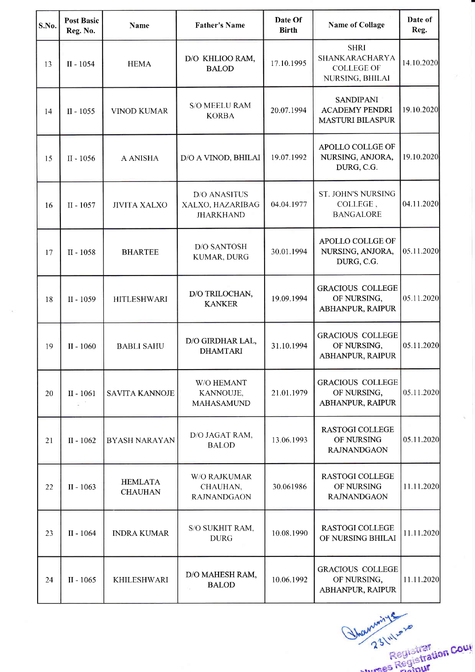| S.No. | <b>Post Basic</b><br>Reg. No. | <b>Name</b>                      | <b>Father's Name</b>                                        | Date Of<br><b>Birth</b> | <b>Name of Collage</b>                                                | Date of<br>Reg. |
|-------|-------------------------------|----------------------------------|-------------------------------------------------------------|-------------------------|-----------------------------------------------------------------------|-----------------|
| 13    | $II - 1054$                   | <b>HEMA</b>                      | D/O KHLIOO RAM,<br><b>BALOD</b>                             | 17.10.1995              | <b>SHRI</b><br>SHANKARACHARYA<br><b>COLLEGE OF</b><br>NURSING, BHILAI | 14.10.2020      |
| 14    | $II - 1055$                   | <b>VINOD KUMAR</b>               | <b>S/O MEELU RAM</b><br><b>KORBA</b>                        | 20.07.1994              | <b>SANDIPANI</b><br><b>ACADEMY PENDRI</b><br><b>MASTURI BILASPUR</b>  | 19.10.2020      |
| 15    | $II - 1056$                   | A ANISHA                         | D/O A VINOD, BHILAI                                         | 19.07.1992              | APOLLO COLLGE OF<br>NURSING, ANJORA,<br>DURG, C.G.                    | 19.10.2020      |
| 16    | $II - 1057$                   | <b>JIVITA XALXO</b>              | <b>D/O ANASITUS</b><br>XALXO, HAZARIBAG<br><b>JHARKHAND</b> | 04.04.1977              | <b>ST. JOHN'S NURSING</b><br>COLLEGE,<br><b>BANGALORE</b>             | 04.11.2020      |
| 17    | II - 1058                     | <b>BHARTEE</b>                   | <b>D/O SANTOSH</b><br>KUMAR, DURG                           | 30.01.1994              | APOLLO COLLGE OF<br>NURSING, ANJORA,<br>DURG, C.G.                    | 05.11.2020      |
| 18    | II - 1059                     | <b>HITLESHWARI</b>               | D/O TRILOCHAN,<br><b>KANKER</b>                             | 19.09.1994              | <b>GRACIOUS COLLEGE</b><br>OF NURSING,<br>ABHANPUR, RAIPUR            | 05.11.2020      |
| 19    | $II - 1060$                   | <b>BABLI SAHU</b>                | D/O GIRDHAR LAL,<br><b>DHAMTARI</b>                         | 31.10.1994              | <b>GRACIOUS COLLEGE</b><br>OF NURSING,<br>ABHANPUR, RAIPUR            | 05.11.2020      |
| 20    | $II - 1061$                   | SAVITA KANNOJE                   | W/O HEMANT<br>KANNOUJE,<br><b>MAHASAMUND</b>                | 21.01.1979              | <b>GRACIOUS COLLEGE</b><br>OF NURSING,<br>ABHANPUR, RAIPUR            | 05.11.2020      |
| 21    | $II - 1062$                   | <b>BYASH NARAYAN</b>             | D/O JAGAT RAM,<br><b>BALOD</b>                              | 13.06.1993              | <b>RASTOGI COLLEGE</b><br>OF NURSING<br><b>RAJNANDGAON</b>            | 05.11.2020      |
| 22    | $II - 1063$                   | <b>HEMLATA</b><br><b>CHAUHAN</b> | <b>W/O RAJKUMAR</b><br>CHAUHAN,<br><b>RAJNANDGAON</b>       | 30.061986               | <b>RASTOGI COLLEGE</b><br>OF NURSING<br><b>RAJNANDGAON</b>            | 11.11.2020      |
| 23    | $II - 1064$                   | <b>INDRA KUMAR</b>               | S/O SUKHIT RAM,<br><b>DURG</b>                              | 10.08.1990              | <b>RASTOGI COLLEGE</b><br>OF NURSING BHILAI                           | 11.11.2020      |
| 24    | $II - 1065$                   | KHILESHWARI                      | D/O MAHESH RAM,<br><b>BALOD</b>                             | 10.06.1992              | <b>GRACIOUS COLLEGE</b><br>OF NURSING,<br>ABHANPUR, RAIPUR            | 11.11.2020      |

Regist Registration Cour